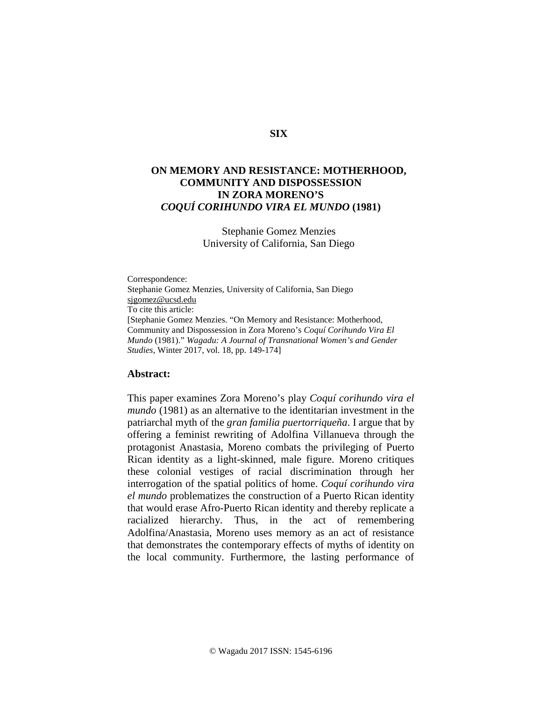### **SIX**

# **ON MEMORY AND RESISTANCE: MOTHERHOOD, COMMUNITY AND DISPOSSESSION IN ZORA MORENO'S**  *COQUÍ CORIHUNDO VIRA EL MUNDO* **(1981)**

Stephanie Gomez Menzies University of California, San Diego

Correspondence: Stephanie Gomez Menzies, University of California, San Diego [sjgomez@ucsd.edu](mailto:sjgomez@ucsd.edu) To cite this article: [Stephanie Gomez Menzies. "On Memory and Resistance: Motherhood, Community and Dispossession in Zora Moreno's *Coquí Corihundo Vira El Mundo* (1981)." *Wagadu: A Journal of Transnational Women's and Gender Studies*, Winter 2017, vol. 18, pp. 149-174]

## **Abstract:**

This paper examines Zora Moreno's play *Coquí corihundo vira el mundo* (1981) as an alternative to the identitarian investment in the patriarchal myth of the *gran familia puertorriqueña*. I argue that by offering a feminist rewriting of Adolfina Villanueva through the protagonist Anastasia, Moreno combats the privileging of Puerto Rican identity as a light-skinned, male figure. Moreno critiques these colonial vestiges of racial discrimination through her interrogation of the spatial politics of home. *Coquí corihundo vira el mundo* problematizes the construction of a Puerto Rican identity that would erase Afro-Puerto Rican identity and thereby replicate a racialized hierarchy. Thus, in the act of remembering Adolfina/Anastasia, Moreno uses memory as an act of resistance that demonstrates the contemporary effects of myths of identity on the local community. Furthermore, the lasting performance of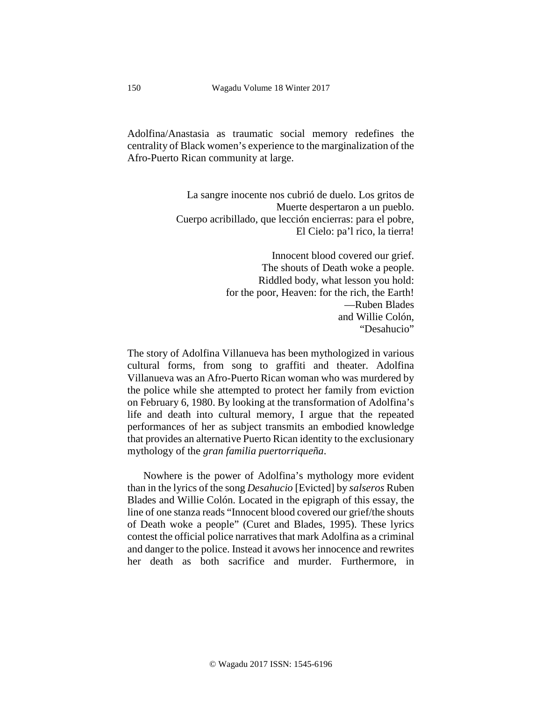Adolfina/Anastasia as traumatic social memory redefines the centrality of Black women's experience to the marginalization of the Afro-Puerto Rican community at large.

> La sangre inocente nos cubrió de duelo. Los gritos de Muerte despertaron a un pueblo. Cuerpo acribillado, que lección encierras: para el pobre, El Cielo: pa'l rico, la tierra!

> > Innocent blood covered our grief. The shouts of Death woke a people. Riddled body, what lesson you hold: for the poor, Heaven: for the rich, the Earth! —Ruben Blades and Willie Colón, "Desahucio"

The story of Adolfina Villanueva has been mythologized in various cultural forms, from song to graffiti and theater. Adolfina Villanueva was an Afro-Puerto Rican woman who was murdered by the police while she attempted to protect her family from eviction on February 6, 1980. By looking at the transformation of Adolfina's life and death into cultural memory, I argue that the repeated performances of her as subject transmits an embodied knowledge that provides an alternative Puerto Rican identity to the exclusionary mythology of the *gran familia puertorriqueña*.

Nowhere is the power of Adolfina's mythology more evident than in the lyrics of the song *Desahucio* [Evicted] by *salseros* Ruben Blades and Willie Colón. Located in the epigraph of this essay, the line of one stanza reads "Innocent blood covered our grief/the shouts of Death woke a people" (Curet and Blades, 1995). These lyrics contest the official police narratives that mark Adolfina as a criminal and danger to the police. Instead it avows her innocence and rewrites her death as both sacrifice and murder. Furthermore, in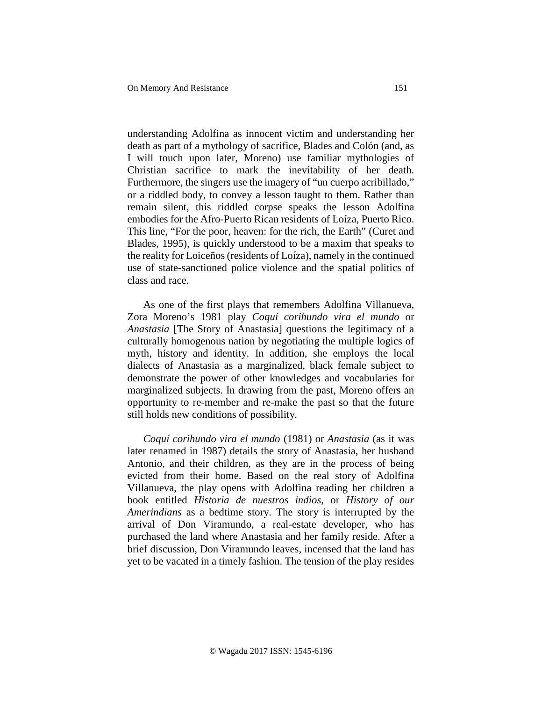understanding Adolfina as innocent victim and understanding her death as part of a mythology of sacrifice, Blades and Colón (and, as I will touch upon later, Moreno) use familiar mythologies of Christian sacrifice to mark the inevitability of her death. Furthermore, the singers use the imagery of "un cuerpo acribillado," or a riddled body, to convey a lesson taught to them. Rather than remain silent, this riddled corpse speaks the lesson Adolfina embodies for the Afro-Puerto Rican residents of Loíza, Puerto Rico. This line, "For the poor, heaven: for the rich, the Earth" (Curet and Blades, 1995), is quickly understood to be a maxim that speaks to the reality for Loiceños (residents of Loíza), namely in the continued use of state-sanctioned police violence and the spatial politics of class and race.

<span id="page-2-0"></span>As one of the first plays that remembers Adolfina Villanueva, Zora Moreno's 1981 play *Coquí corihundo vira el mundo* or *Anastasia* [The Story of Anastasia] questions the legitimacy of a culturally homogenous nation by negotiating the multiple logics of myth, history and identity. In addition, she employs the local dialects of Anastasia as a marginalized, black female subject to demonstrate the power of other knowledges and vocabularies for marginalized subjects. In drawing from the past, Moreno offers an opportunity to re-member and re-make the past so that the future still holds new conditions of possibility.

<span id="page-2-6"></span><span id="page-2-5"></span><span id="page-2-4"></span><span id="page-2-3"></span><span id="page-2-2"></span><span id="page-2-1"></span>*Coquí corihundo vira el mundo* (1981) or *Anastasia* (as it was later renamed in 1987) details the story of Anastasia, her husband Antonio, and their children, as they are in the process of being evicted from their home. Based on the real story of Adolfina Villanueva, the play opens with Adolfina reading her children a book entitled *Historia de nuestros indios*, or *History of our Amerindians* as a bedtime story. The story is interrupted by the arrival of Don Viramundo, a real-estate developer, who has purchased the land where Anastasia and her family reside. After a brief discussion, Don Viramundo leaves, incensed that the land has yet to be vacated in a timely fashion. The tension of the play resides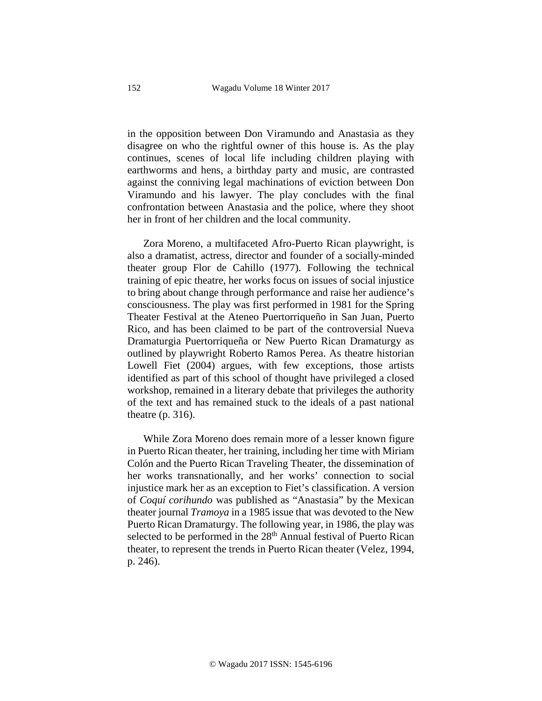<span id="page-3-1"></span><span id="page-3-0"></span>in the opposition between Don Viramundo and Anastasia as they disagree on who the rightful owner of this house is. As the play continues, scenes of local life including children playing with earthworms and hens, a birthday party and music, are contrasted against the conniving legal machinations of eviction between Don Viramundo and his lawyer. The play concludes with the final confrontation between Anastasia and the police, where they shoot her in front of her children and the local community.

Zora Moreno, a multifaceted Afro-Puerto Rican playwright, is also a dramatist, actress, director and founder of a socially-minded theater group Flor de Cahillo (1977). Following the technical training of epic theatre, her works focus on issues of social injustice to bring about change through performance and raise her audience's consciousness. The play was first performed in 1981 for the Spring Theater Festival at the Ateneo Puertorriqueño in San Juan, Puerto Rico, and has been claimed to be part of the controversial Nueva Dramaturgia Puertorriqueña or New Puerto Rican Dramaturgy as outlined by playwright Roberto Ramos Perea. As theatre historian Lowell Fiet (2004) argues, with few exceptions, those artists identified as part of this school of thought have privileged a closed workshop, remained in a literary debate that privileges the authority of the text and has remained stuck to the ideals of a past national theatre (p. 316).

While Zora Moreno does remain more of a lesser known figure in Puerto Rican theater, her training, including her time with Miriam Colón and the Puerto Rican Traveling Theater, the dissemination of her works transnationally, and her works' connection to social injustice mark her as an exception to Fiet's classification. A version of *Coquí corihundo* was published as "Anastasia" by the Mexican theater journal *Tramoya* in a 1985 issue that was devoted to the New Puerto Rican Dramaturgy. The following year, in 1986, the play was selected to be performed in the  $28<sup>th</sup>$  Annual festival of Puerto Rican theater, to represent the trends in Puerto Rican theater (Velez, 1994, p. 246).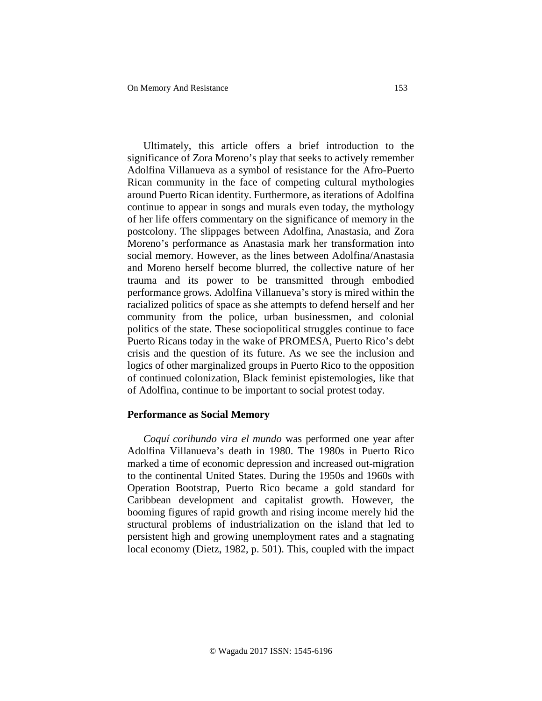Ultimately, this article offers a brief introduction to the significance of Zora Moreno's play that seeks to actively remember Adolfina Villanueva as a symbol of resistance for the Afro-Puerto Rican community in the face of competing cultural mythologies around Puerto Rican identity. Furthermore, as iterations of Adolfina continue to appear in songs and murals even today, the mythology of her life offers commentary on the significance of memory in the postcolony. The slippages between Adolfina, Anastasia, and Zora Moreno's performance as Anastasia mark her transformation into social memory. However, as the lines between Adolfina/Anastasia and Moreno herself become blurred, the collective nature of her trauma and its power to be transmitted through embodied performance grows. Adolfina Villanueva's story is mired within the racialized politics of space as she attempts to defend herself and her community from the police, urban businessmen, and colonial politics of the state. These sociopolitical struggles continue to face Puerto Ricans today in the wake of PROMESA, Puerto Rico's debt crisis and the question of its future. As we see the inclusion and logics of other marginalized groups in Puerto Rico to the opposition of continued colonization, Black feminist epistemologies, like that of Adolfina, continue to be important to social protest today.

### **Performance as Social Memory**

*Coquí corihundo vira el mundo* was performed one year after Adolfina Villanueva's death in 1980. The 1980s in Puerto Rico marked a time of economic depression and increased out-migration to the continental United States. During the 1950s and 1960s with Operation Bootstrap, Puerto Rico became a gold standard for Caribbean development and capitalist growth. However, the booming figures of rapid growth and rising income merely hid the structural problems of industrialization on the island that led to persistent high and growing unemployment rates and a stagnating local economy (Dietz, 1982, p. 501). This, coupled with the impact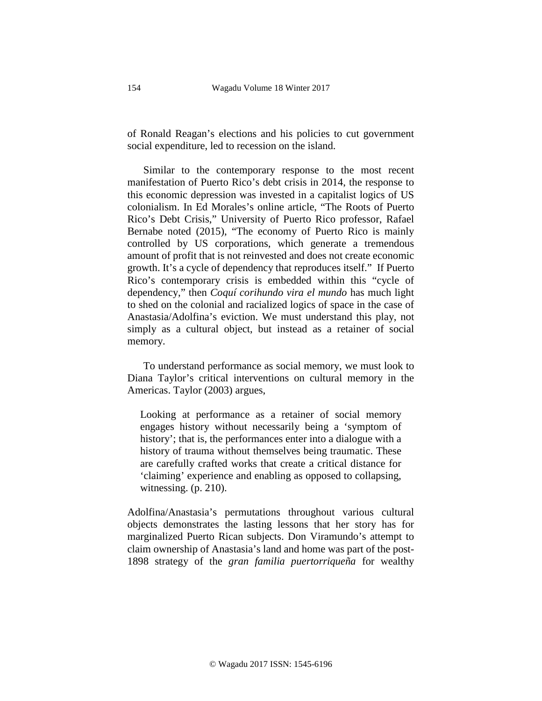of Ronald Reagan's elections and his policies to cut government social expenditure, led to recession on the island.

Similar to the contemporary response to the most recent manifestation of Puerto Rico's debt crisis in 2014, the response to this economic depression was invested in a capitalist logics of US colonialism. In Ed Morales's online article, "The Roots of Puerto Rico's Debt Crisis," University of Puerto Rico professor, Rafael Bernabe noted (2015), "The economy of Puerto Rico is mainly controlled by US corporations, which generate a tremendous amount of profit that is not reinvested and does not create economic growth. It's a cycle of dependency that reproduces itself." If Puerto Rico's contemporary crisis is embedded within this "cycle of dependency," then *Coquí corihundo vira el mundo* has much light to shed on the colonial and racialized logics of space in the case of Anastasia/Adolfina's eviction. We must understand this play, not simply as a cultural object, but instead as a retainer of social memory.

To understand performance as social memory, we must look to Diana Taylor's critical interventions on cultural memory in the Americas. Taylor (2003) argues,

Looking at performance as a retainer of social memory engages history without necessarily being a 'symptom of history'; that is, the performances enter into a dialogue with a history of trauma without themselves being traumatic. These are carefully crafted works that create a critical distance for 'claiming' experience and enabling as opposed to collapsing, witnessing. (p. 210).

Adolfina/Anastasia's permutations throughout various cultural objects demonstrates the lasting lessons that her story has for marginalized Puerto Rican subjects. Don Viramundo's attempt to claim ownership of Anastasia's land and home was part of the post-1898 strategy of the *gran familia puertorriqueña* for wealthy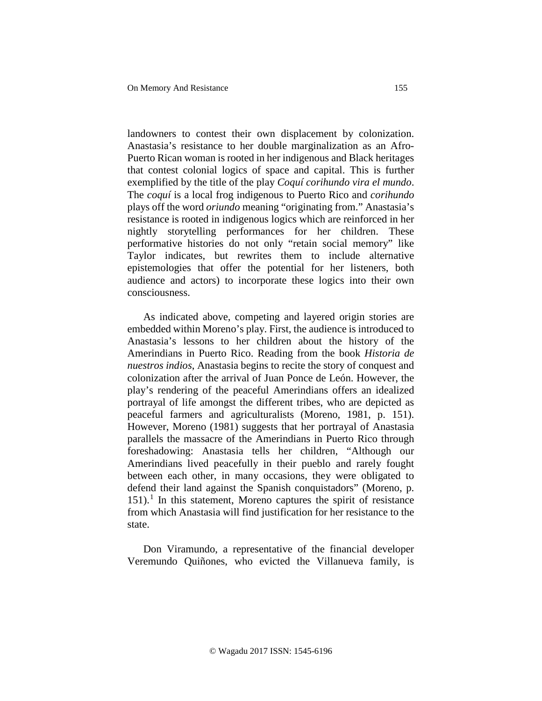landowners to contest their own displacement by colonization. Anastasia's resistance to her double marginalization as an Afro-Puerto Rican woman is rooted in her indigenous and Black heritages that contest colonial logics of space and capital. This is further exemplified by the title of the play *Coquí corihundo vira el mundo*. The *coquí* is a local frog indigenous to Puerto Rico and *corihundo* plays off the word *oriundo* meaning "originating from." Anastasia's resistance is rooted in indigenous logics which are reinforced in her nightly storytelling performances for her children. These performative histories do not only "retain social memory" like Taylor indicates, but rewrites them to include alternative epistemologies that offer the potential for her listeners, both audience and actors) to incorporate these logics into their own consciousness.

As indicated above, competing and layered origin stories are embedded within Moreno's play. First, the audience is introduced to Anastasia's lessons to her children about the history of the Amerindians in Puerto Rico. Reading from the book *Historia de nuestros indios*, Anastasia begins to recite the story of conquest and colonization after the arrival of Juan Ponce de León. However, the play's rendering of the peaceful Amerindians offers an idealized portrayal of life amongst the different tribes, who are depicted as peaceful farmers and agriculturalists (Moreno, 1981, p. 151). However, Moreno (1981) suggests that her portrayal of Anastasia parallels the massacre of the Amerindians in Puerto Rico through foreshadowing: Anastasia tells her children, "Although our Amerindians lived peacefully in their pueblo and rarely fought between each other, in many occasions, they were obligated to defend their land against the Spanish conquistadors" (Moreno, p.  $151$  $151$ ).<sup>1</sup> In this statement, Moreno captures the spirit of resistance from which Anastasia will find justification for her resistance to the state.

Don Viramundo, a representative of the financial developer Veremundo Quiñones, who evicted the Villanueva family, is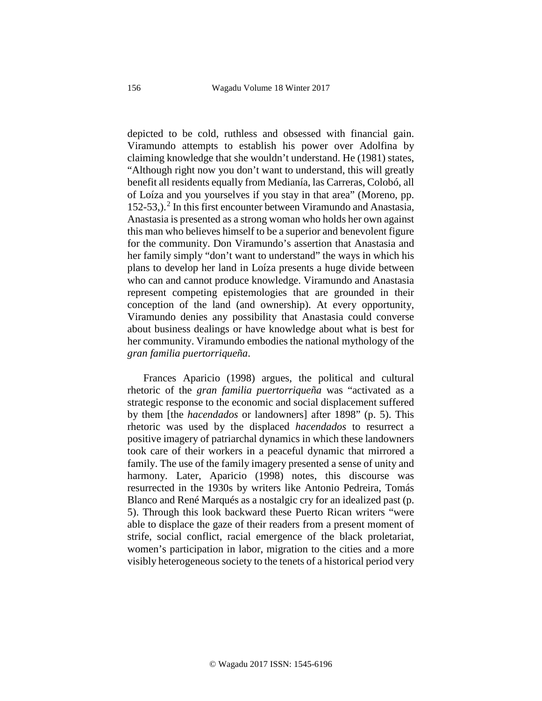depicted to be cold, ruthless and obsessed with financial gain. Viramundo attempts to establish his power over Adolfina by claiming knowledge that she wouldn't understand. He (1981) states, "Although right now you don't want to understand, this will greatly benefit all residents equally from Medianía, las Carreras, Colobó, all of Loíza and you yourselves if you stay in that area" (Moreno, pp.  $152-53$  $152-53$  $152-53$ ,).<sup>2</sup> In this first encounter between Viramundo and Anastasia, Anastasia is presented as a strong woman who holds her own against this man who believes himself to be a superior and benevolent figure for the community. Don Viramundo's assertion that Anastasia and her family simply "don't want to understand" the ways in which his plans to develop her land in Loíza presents a huge divide between who can and cannot produce knowledge. Viramundo and Anastasia represent competing epistemologies that are grounded in their conception of the land (and ownership). At every opportunity, Viramundo denies any possibility that Anastasia could converse about business dealings or have knowledge about what is best for her community. Viramundo embodies the national mythology of the *gran familia puertorriqueña*.

Frances Aparicio (1998) argues, the political and cultural rhetoric of the *gran familia puertorriqueña* was "activated as a strategic response to the economic and social displacement suffered by them [the *hacendados* or landowners] after 1898" (p. 5). This rhetoric was used by the displaced *hacendados* to resurrect a positive imagery of patriarchal dynamics in which these landowners took care of their workers in a peaceful dynamic that mirrored a family. The use of the family imagery presented a sense of unity and harmony. Later, Aparicio (1998) notes, this discourse was resurrected in the 1930s by writers like Antonio Pedreira, Tomás Blanco and René Marqués as a nostalgic cry for an idealized past (p. 5). Through this look backward these Puerto Rican writers "were able to displace the gaze of their readers from a present moment of strife, social conflict, racial emergence of the black proletariat, women's participation in labor, migration to the cities and a more visibly heterogeneous society to the tenets of a historical period very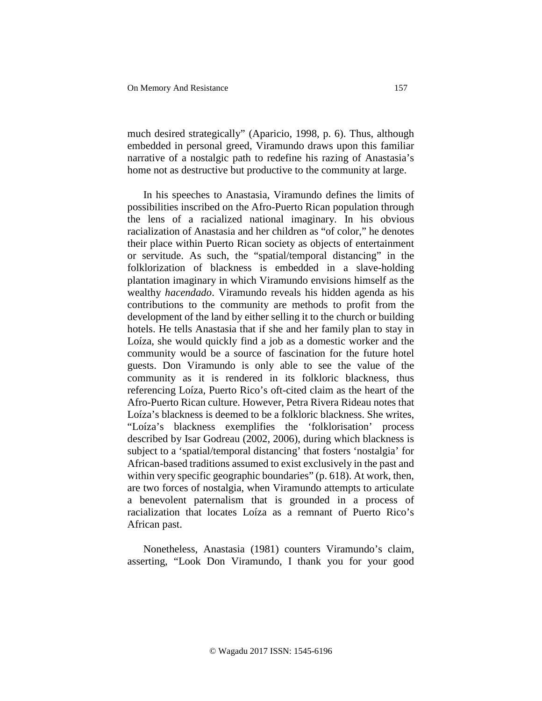much desired strategically" (Aparicio, 1998, p. 6). Thus, although embedded in personal greed, Viramundo draws upon this familiar narrative of a nostalgic path to redefine his razing of Anastasia's home not as destructive but productive to the community at large.

In his speeches to Anastasia, Viramundo defines the limits of possibilities inscribed on the Afro-Puerto Rican population through the lens of a racialized national imaginary. In his obvious racialization of Anastasia and her children as "of color," he denotes their place within Puerto Rican society as objects of entertainment or servitude. As such, the "spatial/temporal distancing" in the folklorization of blackness is embedded in a slave-holding plantation imaginary in which Viramundo envisions himself as the wealthy *hacendado*. Viramundo reveals his hidden agenda as his contributions to the community are methods to profit from the development of the land by either selling it to the church or building hotels. He tells Anastasia that if she and her family plan to stay in Loíza, she would quickly find a job as a domestic worker and the community would be a source of fascination for the future hotel guests. Don Viramundo is only able to see the value of the community as it is rendered in its folkloric blackness, thus referencing Loíza, Puerto Rico's oft-cited claim as the heart of the Afro-Puerto Rican culture. However, Petra Rivera Rideau notes that Loíza's blackness is deemed to be a folkloric blackness. She writes, "Loíza's blackness exemplifies the 'folklorisation' process described by Isar Godreau (2002, 2006), during which blackness is subject to a 'spatial/temporal distancing' that fosters 'nostalgia' for African-based traditions assumed to exist exclusively in the past and within very specific geographic boundaries" (p. 618). At work, then, are two forces of nostalgia, when Viramundo attempts to articulate a benevolent paternalism that is grounded in a process of racialization that locates Loíza as a remnant of Puerto Rico's African past.

Nonetheless, Anastasia (1981) counters Viramundo's claim, asserting, "Look Don Viramundo, I thank you for your good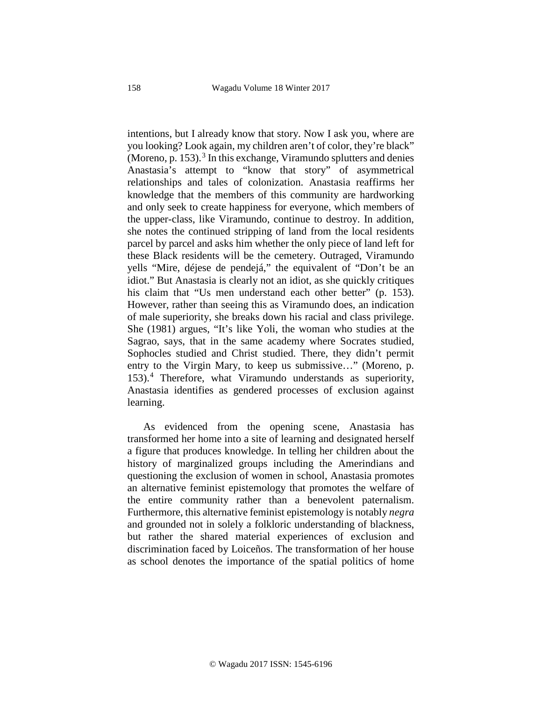intentions, but I already know that story. Now I ask you, where are you looking? Look again, my children aren't of color, they're black" (Moreno, p. 15[3](#page-2-2)).<sup>3</sup> In this exchange, Viramundo splutters and denies Anastasia's attempt to "know that story" of asymmetrical relationships and tales of colonization. Anastasia reaffirms her knowledge that the members of this community are hardworking and only seek to create happiness for everyone, which members of the upper-class, like Viramundo, continue to destroy. In addition, she notes the continued stripping of land from the local residents parcel by parcel and asks him whether the only piece of land left for these Black residents will be the cemetery. Outraged, Viramundo yells "Mire, déjese de pendejá," the equivalent of "Don't be an idiot." But Anastasia is clearly not an idiot, as she quickly critiques his claim that "Us men understand each other better" (p. 153). However, rather than seeing this as Viramundo does, an indication of male superiority, she breaks down his racial and class privilege. She (1981) argues, "It's like Yoli, the woman who studies at the Sagrao, says, that in the same academy where Socrates studied, Sophocles studied and Christ studied. There, they didn't permit entry to the Virgin Mary, to keep us submissive…" (Moreno, p. 153).[4](#page-2-3) Therefore, what Viramundo understands as superiority, Anastasia identifies as gendered processes of exclusion against learning.

As evidenced from the opening scene, Anastasia has transformed her home into a site of learning and designated herself a figure that produces knowledge. In telling her children about the history of marginalized groups including the Amerindians and questioning the exclusion of women in school, Anastasia promotes an alternative feminist epistemology that promotes the welfare of the entire community rather than a benevolent paternalism. Furthermore, this alternative feminist epistemology is notably *negra* and grounded not in solely a folkloric understanding of blackness, but rather the shared material experiences of exclusion and discrimination faced by Loiceños. The transformation of her house as school denotes the importance of the spatial politics of home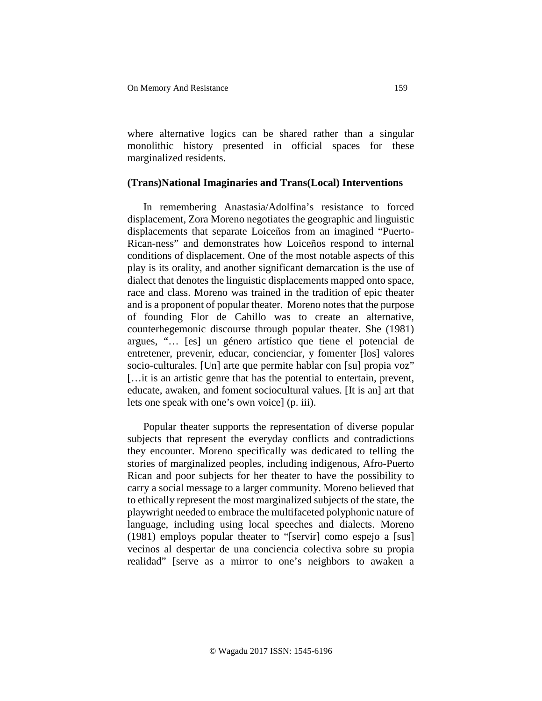where alternative logics can be shared rather than a singular monolithic history presented in official spaces for these marginalized residents.

### **(Trans)National Imaginaries and Trans(Local) Interventions**

In remembering Anastasia/Adolfina's resistance to forced displacement, Zora Moreno negotiates the geographic and linguistic displacements that separate Loiceños from an imagined "Puerto-Rican-ness" and demonstrates how Loiceños respond to internal conditions of displacement. One of the most notable aspects of this play is its orality, and another significant demarcation is the use of dialect that denotes the linguistic displacements mapped onto space, race and class. Moreno was trained in the tradition of epic theater and is a proponent of popular theater. Moreno notes that the purpose of founding Flor de Cahillo was to create an alternative, counterhegemonic discourse through popular theater. She (1981) argues, "… [es] un género artístico que tiene el potencial de entretener, prevenir, educar, concienciar, y fomenter [los] valores socio-culturales. [Un] arte que permite hablar con [su] propia voz" […it is an artistic genre that has the potential to entertain, prevent, educate, awaken, and foment sociocultural values. [It is an] art that lets one speak with one's own voice] (p. iii).

Popular theater supports the representation of diverse popular subjects that represent the everyday conflicts and contradictions they encounter. Moreno specifically was dedicated to telling the stories of marginalized peoples, including indigenous, Afro-Puerto Rican and poor subjects for her theater to have the possibility to carry a social message to a larger community. Moreno believed that to ethically represent the most marginalized subjects of the state, the playwright needed to embrace the multifaceted polyphonic nature of language, including using local speeches and dialects. Moreno (1981) employs popular theater to "[servir] como espejo a [sus] vecinos al despertar de una conciencia colectiva sobre su propia realidad" [serve as a mirror to one's neighbors to awaken a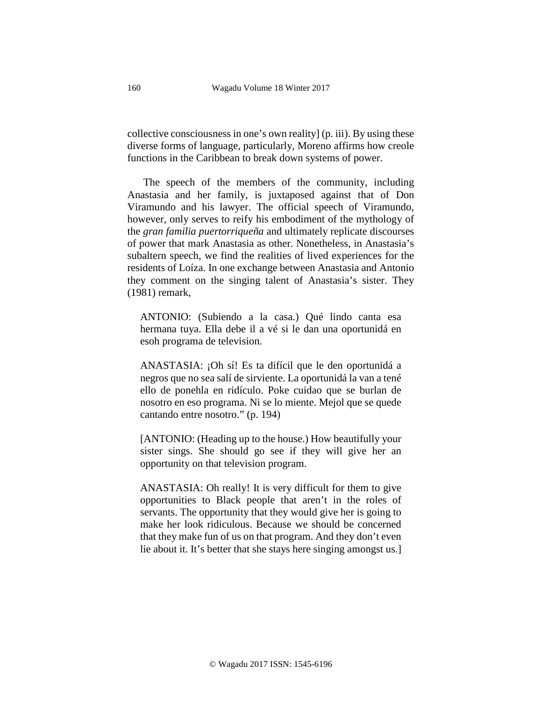collective consciousness in one's own reality] (p. iii). By using these diverse forms of language, particularly, Moreno affirms how creole functions in the Caribbean to break down systems of power.

The speech of the members of the community, including Anastasia and her family, is juxtaposed against that of Don Viramundo and his lawyer. The official speech of Viramundo, however, only serves to reify his embodiment of the mythology of the *gran familia puertorriqueña* and ultimately replicate discourses of power that mark Anastasia as other. Nonetheless, in Anastasia's subaltern speech, we find the realities of lived experiences for the residents of Loíza. In one exchange between Anastasia and Antonio they comment on the singing talent of Anastasia's sister. They (1981) remark,

ANTONIO: (Subiendo a la casa.) Qué lindo canta esa hermana tuya. Ella debe il a vé si le dan una oportunidá en esoh programa de television.

ANASTASIA: ¡Oh sí! Es ta difícil que le den oportunidá a negros que no sea salí de sirviente. La oportunidá la van a tené ello de ponehla en ridículo. Poke cuidao que se burlan de nosotro en eso programa. Ni se lo miente. Mejol que se quede cantando entre nosotro." (p. 194)

[ANTONIO: (Heading up to the house.) How beautifully your sister sings. She should go see if they will give her an opportunity on that television program.

ANASTASIA: Oh really! It is very difficult for them to give opportunities to Black people that aren't in the roles of servants. The opportunity that they would give her is going to make her look ridiculous. Because we should be concerned that they make fun of us on that program. And they don't even lie about it. It's better that she stays here singing amongst us.]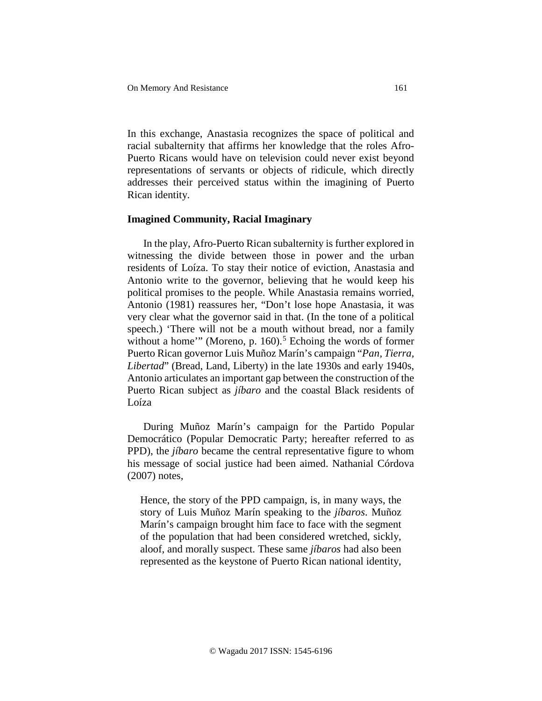In this exchange, Anastasia recognizes the space of political and racial subalternity that affirms her knowledge that the roles Afro-Puerto Ricans would have on television could never exist beyond representations of servants or objects of ridicule, which directly addresses their perceived status within the imagining of Puerto Rican identity.

### **Imagined Community, Racial Imaginary**

In the play, Afro-Puerto Rican subalternity is further explored in witnessing the divide between those in power and the urban residents of Loíza. To stay their notice of eviction, Anastasia and Antonio write to the governor, believing that he would keep his political promises to the people. While Anastasia remains worried, Antonio (1981) reassures her, "Don't lose hope Anastasia, it was very clear what the governor said in that. (In the tone of a political speech.) 'There will not be a mouth without bread, nor a family without a home'" (Moreno, p.  $160$ ).<sup>[5](#page-2-4)</sup> Echoing the words of former Puerto Rican governor Luis Muñoz Marín's campaign "*Pan, Tierra, Libertad*" (Bread, Land, Liberty) in the late 1930s and early 1940s, Antonio articulates an important gap between the construction of the Puerto Rican subject as *jíbaro* and the coastal Black residents of Loíza

During Muñoz Marín's campaign for the Partido Popular Democrático (Popular Democratic Party; hereafter referred to as PPD), the *jíbaro* became the central representative figure to whom his message of social justice had been aimed. Nathanial Córdova (2007) notes,

Hence, the story of the PPD campaign, is, in many ways, the story of Luis Muñoz Marín speaking to the *jíbaros*. Muñoz Marín's campaign brought him face to face with the segment of the population that had been considered wretched, sickly, aloof, and morally suspect. These same *jíbaros* had also been represented as the keystone of Puerto Rican national identity,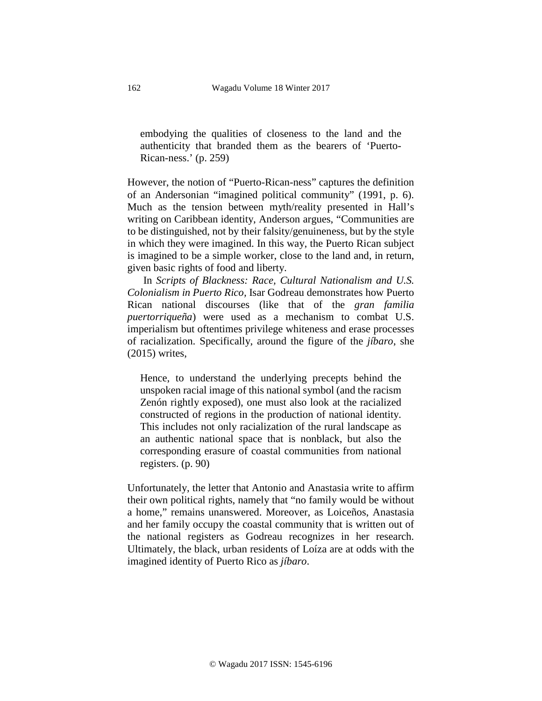embodying the qualities of closeness to the land and the authenticity that branded them as the bearers of 'Puerto-Rican-ness.' (p. 259)

However, the notion of "Puerto-Rican-ness" captures the definition of an Andersonian "imagined political community" (1991, p. 6). Much as the tension between myth/reality presented in Hall's writing on Caribbean identity, Anderson argues, "Communities are to be distinguished, not by their falsity/genuineness, but by the style in which they were imagined. In this way, the Puerto Rican subject is imagined to be a simple worker, close to the land and, in return, given basic rights of food and liberty.

In *Scripts of Blackness: Race, Cultural Nationalism and U.S. Colonialism in Puerto Rico,* Isar Godreau demonstrates how Puerto Rican national discourses (like that of the *gran familia puertorriqueña*) were used as a mechanism to combat U.S. imperialism but oftentimes privilege whiteness and erase processes of racialization. Specifically, around the figure of the *jíbaro*, she (2015) writes,

Hence, to understand the underlying precepts behind the unspoken racial image of this national symbol (and the racism Zenón rightly exposed), one must also look at the racialized constructed of regions in the production of national identity. This includes not only racialization of the rural landscape as an authentic national space that is nonblack, but also the corresponding erasure of coastal communities from national registers. (p. 90)

Unfortunately, the letter that Antonio and Anastasia write to affirm their own political rights, namely that "no family would be without a home," remains unanswered. Moreover, as Loiceños, Anastasia and her family occupy the coastal community that is written out of the national registers as Godreau recognizes in her research. Ultimately, the black, urban residents of Loíza are at odds with the imagined identity of Puerto Rico as *jíbaro*.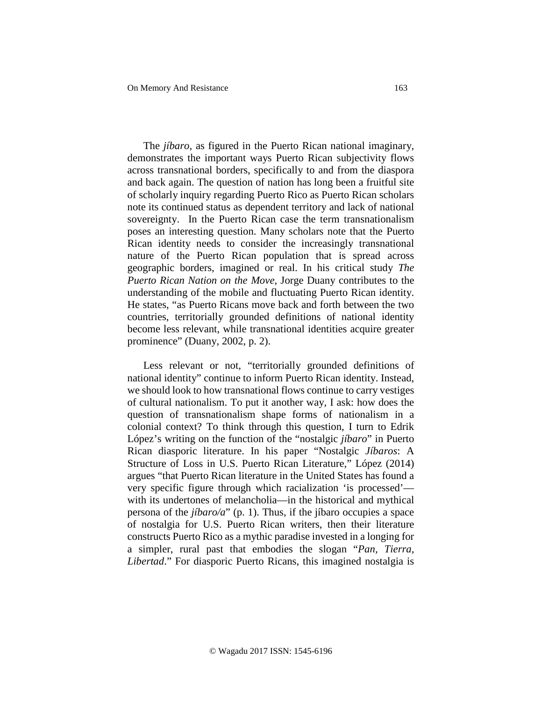The *jíbaro*, as figured in the Puerto Rican national imaginary, demonstrates the important ways Puerto Rican subjectivity flows across transnational borders, specifically to and from the diaspora and back again. The question of nation has long been a fruitful site of scholarly inquiry regarding Puerto Rico as Puerto Rican scholars note its continued status as dependent territory and lack of national sovereignty. In the Puerto Rican case the term transnationalism poses an interesting question. Many scholars note that the Puerto Rican identity needs to consider the increasingly transnational nature of the Puerto Rican population that is spread across geographic borders, imagined or real. In his critical study *The Puerto Rican Nation on the Move*, Jorge Duany contributes to the understanding of the mobile and fluctuating Puerto Rican identity. He states, "as Puerto Ricans move back and forth between the two countries, territorially grounded definitions of national identity become less relevant, while transnational identities acquire greater prominence" (Duany, 2002, p. 2).

Less relevant or not, "territorially grounded definitions of national identity" continue to inform Puerto Rican identity. Instead, we should look to how transnational flows continue to carry vestiges of cultural nationalism. To put it another way, I ask: how does the question of transnationalism shape forms of nationalism in a colonial context? To think through this question, I turn to Edrik López's writing on the function of the "nostalgic *jíbaro*" in Puerto Rican diasporic literature. In his paper "Nostalgic *Jíbaros*: A Structure of Loss in U.S. Puerto Rican Literature," López (2014) argues "that Puerto Rican literature in the United States has found a very specific figure through which racialization 'is processed' with its undertones of melancholia—in the historical and mythical persona of the *jíbaro/a*" (p. 1). Thus, if the jíbaro occupies a space of nostalgia for U.S. Puerto Rican writers, then their literature constructs Puerto Rico as a mythic paradise invested in a longing for a simpler, rural past that embodies the slogan "*Pan, Tierra, Libertad*." For diasporic Puerto Ricans, this imagined nostalgia is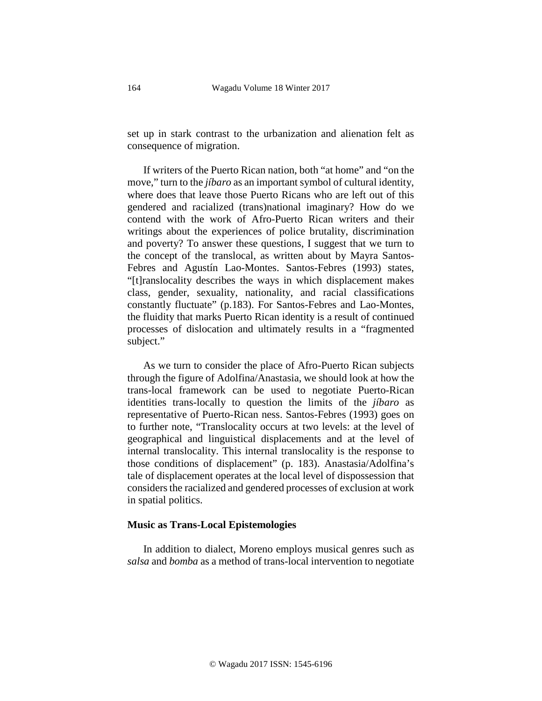set up in stark contrast to the urbanization and alienation felt as consequence of migration.

If writers of the Puerto Rican nation, both "at home" and "on the move," turn to the *jíbaro* as an important symbol of cultural identity, where does that leave those Puerto Ricans who are left out of this gendered and racialized (trans)national imaginary? How do we contend with the work of Afro-Puerto Rican writers and their writings about the experiences of police brutality, discrimination and poverty? To answer these questions, I suggest that we turn to the concept of the translocal, as written about by Mayra Santos-Febres and Agustín Lao-Montes. Santos-Febres (1993) states, "[t]ranslocality describes the ways in which displacement makes class, gender, sexuality, nationality, and racial classifications constantly fluctuate" (p.183). For Santos-Febres and Lao-Montes, the fluidity that marks Puerto Rican identity is a result of continued processes of dislocation and ultimately results in a "fragmented subject."

As we turn to consider the place of Afro-Puerto Rican subjects through the figure of Adolfina/Anastasia, we should look at how the trans-local framework can be used to negotiate Puerto-Rican identities trans-locally to question the limits of the *jíbaro* as representative of Puerto-Rican ness. Santos-Febres (1993) goes on to further note, "Translocality occurs at two levels: at the level of geographical and linguistical displacements and at the level of internal translocality. This internal translocality is the response to those conditions of displacement" (p. 183). Anastasia/Adolfina's tale of displacement operates at the local level of dispossession that considers the racialized and gendered processes of exclusion at work in spatial politics.

### **Music as Trans-Local Epistemologies**

In addition to dialect, Moreno employs musical genres such as *salsa* and *bomba* as a method of trans-local intervention to negotiate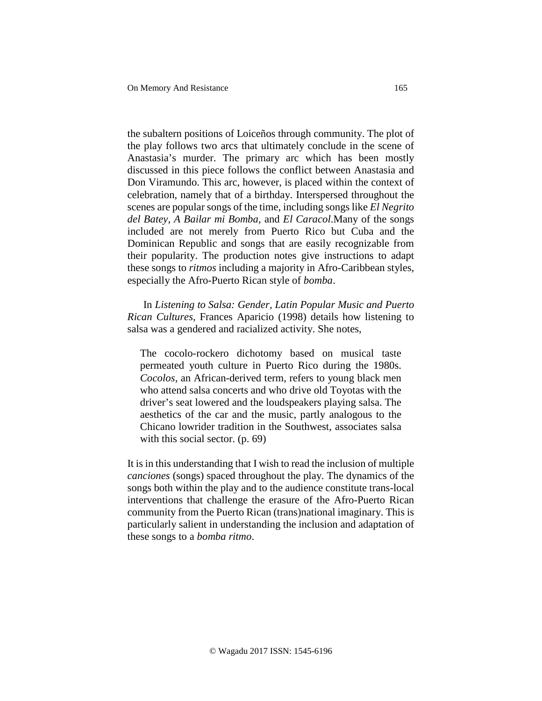the subaltern positions of Loiceños through community. The plot of the play follows two arcs that ultimately conclude in the scene of Anastasia's murder. The primary arc which has been mostly discussed in this piece follows the conflict between Anastasia and Don Viramundo. This arc, however, is placed within the context of celebration, namely that of a birthday. Interspersed throughout the scenes are popular songs of the time, including songs like *El Negrito del Batey*, *A Bailar mi Bomba*, and *El Caracol*.Many of the songs included are not merely from Puerto Rico but Cuba and the Dominican Republic and songs that are easily recognizable from their popularity. The production notes give instructions to adapt these songs to *ritmos* including a majority in Afro-Caribbean styles, especially the Afro-Puerto Rican style of *bomba*.

In *Listening to Salsa: Gender, Latin Popular Music and Puerto Rican Cultures*, Frances Aparicio (1998) details how listening to salsa was a gendered and racialized activity. She notes,

The cocolo-rockero dichotomy based on musical taste permeated youth culture in Puerto Rico during the 1980s. *Cocolos,* an African-derived term, refers to young black men who attend salsa concerts and who drive old Toyotas with the driver's seat lowered and the loudspeakers playing salsa. The aesthetics of the car and the music, partly analogous to the Chicano lowrider tradition in the Southwest, associates salsa with this social sector. (p. 69)

It is in this understanding that I wish to read the inclusion of multiple *canciones* (songs) spaced throughout the play. The dynamics of the songs both within the play and to the audience constitute trans-local interventions that challenge the erasure of the Afro-Puerto Rican community from the Puerto Rican (trans)national imaginary. This is particularly salient in understanding the inclusion and adaptation of these songs to a *bomba ritmo*.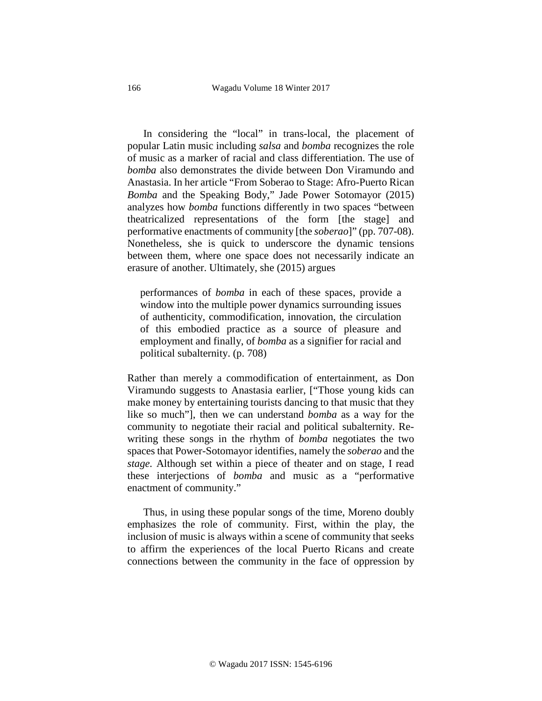In considering the "local" in trans-local, the placement of popular Latin music including *salsa* and *bomba* recognizes the role of music as a marker of racial and class differentiation. The use of *bomba* also demonstrates the divide between Don Viramundo and Anastasia. In her article "From Soberao to Stage: Afro-Puerto Rican *Bomba* and the Speaking Body," Jade Power Sotomayor (2015) analyzes how *bomba* functions differently in two spaces "between theatricalized representations of the form [the stage] and performative enactments of community [the *soberao*]" (pp. 707-08). Nonetheless, she is quick to underscore the dynamic tensions between them, where one space does not necessarily indicate an erasure of another. Ultimately, she (2015) argues

performances of *bomba* in each of these spaces, provide a window into the multiple power dynamics surrounding issues of authenticity, commodification, innovation, the circulation of this embodied practice as a source of pleasure and employment and finally, of *bomba* as a signifier for racial and political subalternity. (p. 708)

Rather than merely a commodification of entertainment, as Don Viramundo suggests to Anastasia earlier, ["Those young kids can make money by entertaining tourists dancing to that music that they like so much"], then we can understand *bomba* as a way for the community to negotiate their racial and political subalternity. Rewriting these songs in the rhythm of *bomba* negotiates the two spaces that Power-Sotomayor identifies, namely the *soberao* and the *stage.* Although set within a piece of theater and on stage, I read these interjections of *bomba* and music as a "performative enactment of community."

Thus, in using these popular songs of the time, Moreno doubly emphasizes the role of community. First, within the play, the inclusion of music is always within a scene of community that seeks to affirm the experiences of the local Puerto Ricans and create connections between the community in the face of oppression by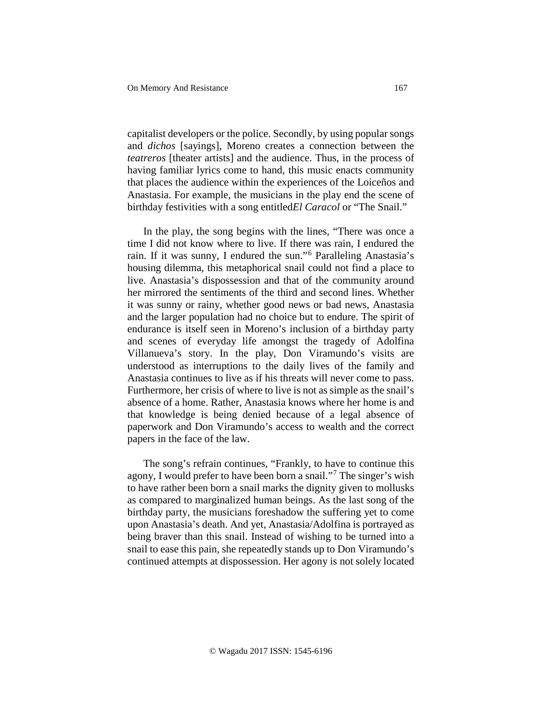capitalist developers or the police. Secondly, by using popular songs and *dichos* [sayings], Moreno creates a connection between the *teatreros* [theater artists] and the audience. Thus, in the process of having familiar lyrics come to hand, this music enacts community that places the audience within the experiences of the Loiceños and Anastasia. For example, the musicians in the play end the scene of birthday festivities with a song entitled*El Caracol* or "The Snail."

In the play, the song begins with the lines, "There was once a time I did not know where to live. If there was rain, I endured the rain. If it was sunny, I endured the sun."[6](#page-2-5) Paralleling Anastasia's housing dilemma, this metaphorical snail could not find a place to live. Anastasia's dispossession and that of the community around her mirrored the sentiments of the third and second lines. Whether it was sunny or rainy, whether good news or bad news, Anastasia and the larger population had no choice but to endure. The spirit of endurance is itself seen in Moreno's inclusion of a birthday party and scenes of everyday life amongst the tragedy of Adolfina Villanueva's story. In the play, Don Viramundo's visits are understood as interruptions to the daily lives of the family and Anastasia continues to live as if his threats will never come to pass. Furthermore, her crisis of where to live is not as simple as the snail's absence of a home. Rather, Anastasia knows where her home is and that knowledge is being denied because of a legal absence of paperwork and Don Viramundo's access to wealth and the correct papers in the face of the law.

The song's refrain continues, "Frankly, to have to continue this agony, I would prefer to have been born a snail."[7](#page-2-6) The singer's wish to have rather been born a snail marks the dignity given to mollusks as compared to marginalized human beings. As the last song of the birthday party, the musicians foreshadow the suffering yet to come upon Anastasia's death. And yet, Anastasia/Adolfina is portrayed as being braver than this snail. Instead of wishing to be turned into a snail to ease this pain, she repeatedly stands up to Don Viramundo's continued attempts at dispossession. Her agony is not solely located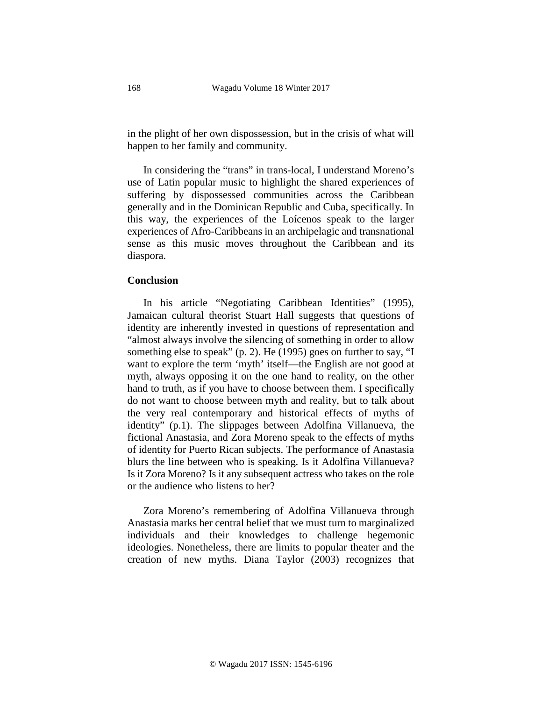in the plight of her own dispossession, but in the crisis of what will happen to her family and community.

In considering the "trans" in trans-local, I understand Moreno's use of Latin popular music to highlight the shared experiences of suffering by dispossessed communities across the Caribbean generally and in the Dominican Republic and Cuba, specifically. In this way, the experiences of the Loícenos speak to the larger experiences of Afro-Caribbeans in an archipelagic and transnational sense as this music moves throughout the Caribbean and its diaspora.

### **Conclusion**

In his article "Negotiating Caribbean Identities" (1995), Jamaican cultural theorist Stuart Hall suggests that questions of identity are inherently invested in questions of representation and "almost always involve the silencing of something in order to allow something else to speak" (p. 2). He (1995) goes on further to say, "I want to explore the term 'myth' itself—the English are not good at myth, always opposing it on the one hand to reality, on the other hand to truth, as if you have to choose between them. I specifically do not want to choose between myth and reality, but to talk about the very real contemporary and historical effects of myths of identity" (p.1). The slippages between Adolfina Villanueva, the fictional Anastasia, and Zora Moreno speak to the effects of myths of identity for Puerto Rican subjects. The performance of Anastasia blurs the line between who is speaking. Is it Adolfina Villanueva? Is it Zora Moreno? Is it any subsequent actress who takes on the role or the audience who listens to her?

Zora Moreno's remembering of Adolfina Villanueva through Anastasia marks her central belief that we must turn to marginalized individuals and their knowledges to challenge hegemonic ideologies. Nonetheless, there are limits to popular theater and the creation of new myths. Diana Taylor (2003) recognizes that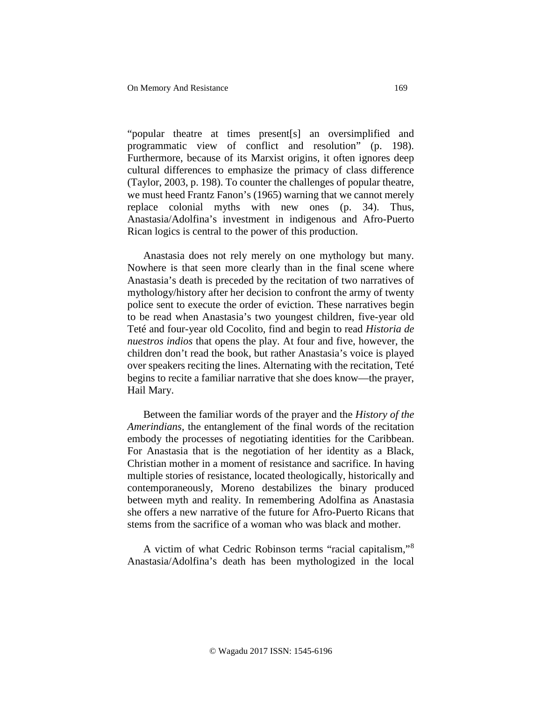"popular theatre at times present[s] an oversimplified and programmatic view of conflict and resolution" (p. 198). Furthermore, because of its Marxist origins, it often ignores deep cultural differences to emphasize the primacy of class difference (Taylor, 2003, p. 198). To counter the challenges of popular theatre, we must heed Frantz Fanon's (1965) warning that we cannot merely replace colonial myths with new ones (p. 34). Thus, Anastasia/Adolfina's investment in indigenous and Afro-Puerto Rican logics is central to the power of this production.

Anastasia does not rely merely on one mythology but many. Nowhere is that seen more clearly than in the final scene where Anastasia's death is preceded by the recitation of two narratives of mythology/history after her decision to confront the army of twenty police sent to execute the order of eviction. These narratives begin to be read when Anastasia's two youngest children, five-year old Teté and four-year old Cocolito, find and begin to read *Historia de nuestros indios* that opens the play. At four and five, however, the children don't read the book, but rather Anastasia's voice is played over speakers reciting the lines. Alternating with the recitation, Teté begins to recite a familiar narrative that she does know—the prayer, Hail Mary.

Between the familiar words of the prayer and the *History of the Amerindians*, the entanglement of the final words of the recitation embody the processes of negotiating identities for the Caribbean. For Anastasia that is the negotiation of her identity as a Black, Christian mother in a moment of resistance and sacrifice. In having multiple stories of resistance, located theologically, historically and contemporaneously, Moreno destabilizes the binary produced between myth and reality. In remembering Adolfina as Anastasia she offers a new narrative of the future for Afro-Puerto Ricans that stems from the sacrifice of a woman who was black and mother.

A victim of what Cedric Robinson terms "racial capitalism,"[8](#page-3-0) Anastasia/Adolfina's death has been mythologized in the local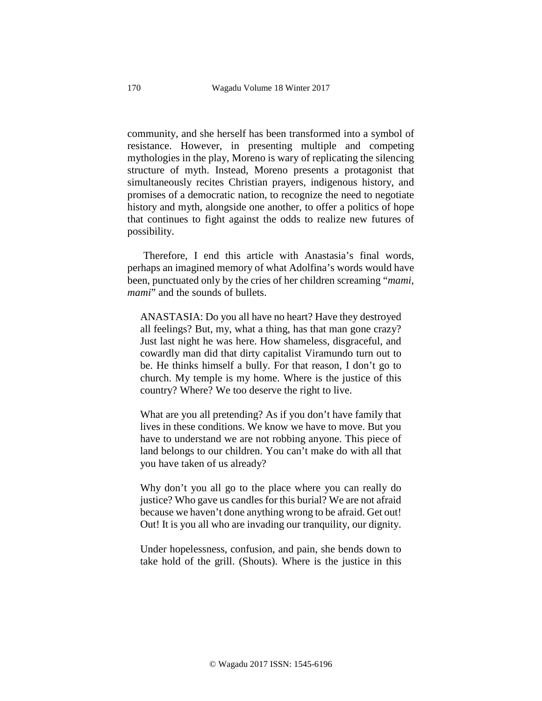community, and she herself has been transformed into a symbol of resistance. However, in presenting multiple and competing mythologies in the play, Moreno is wary of replicating the silencing structure of myth. Instead, Moreno presents a protagonist that simultaneously recites Christian prayers, indigenous history, and promises of a democratic nation, to recognize the need to negotiate history and myth, alongside one another, to offer a politics of hope that continues to fight against the odds to realize new futures of possibility.

Therefore, I end this article with Anastasia's final words, perhaps an imagined memory of what Adolfina's words would have been, punctuated only by the cries of her children screaming "*mami, mami*" and the sounds of bullets.

ANASTASIA: Do you all have no heart? Have they destroyed all feelings? But, my, what a thing, has that man gone crazy? Just last night he was here. How shameless, disgraceful, and cowardly man did that dirty capitalist Viramundo turn out to be. He thinks himself a bully. For that reason, I don't go to church. My temple is my home. Where is the justice of this country? Where? We too deserve the right to live.

What are you all pretending? As if you don't have family that lives in these conditions. We know we have to move. But you have to understand we are not robbing anyone. This piece of land belongs to our children. You can't make do with all that you have taken of us already?

Why don't you all go to the place where you can really do justice? Who gave us candles for this burial? We are not afraid because we haven't done anything wrong to be afraid. Get out! Out! It is you all who are invading our tranquility, our dignity.

Under hopelessness, confusion, and pain, she bends down to take hold of the grill. (Shouts). Where is the justice in this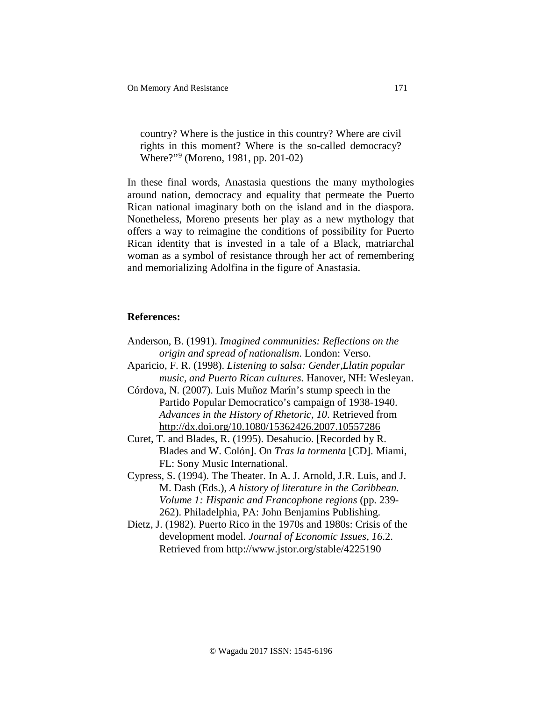country? Where is the justice in this country? Where are civil rights in this moment? Where is the so-called democracy? Where?"[9](#page-3-1) (Moreno, 1981, pp. 201-02)

In these final words, Anastasia questions the many mythologies around nation, democracy and equality that permeate the Puerto Rican national imaginary both on the island and in the diaspora. Nonetheless, Moreno presents her play as a new mythology that offers a way to reimagine the conditions of possibility for Puerto Rican identity that is invested in a tale of a Black, matriarchal woman as a symbol of resistance through her act of remembering and memorializing Adolfina in the figure of Anastasia.

#### **References:**

- Anderson, B. (1991). *Imagined communities: Reflections on the origin and spread of nationalism*. London: Verso. Aparicio, F. R. (1998). *Listening to salsa: Gender,Llatin popular music, and Puerto Rican cultures.* Hanover, NH: Wesleyan. Córdova, N. (2007). Luis Muñoz Marín's stump speech in the Partido Popular Democratico's campaign of 1938-1940. *Advances in the History of Rhetoric, 10*. Retrieved from <http://dx.doi.org/10.1080/15362426.2007.10557286> Curet, T. and Blades, R. (1995). Desahucio. [Recorded by R. Blades and W. Colón]. On *Tras la tormenta* [CD]. Miami, FL: Sony Music International. Cypress, S. (1994). The Theater. In A. J. Arnold, J.R. Luis, and J. M. Dash (Eds.), *A history of literature in the Caribbean. Volume 1: Hispanic and Francophone regions* (pp. 239-
- 262). Philadelphia, PA: John Benjamins Publishing. Dietz, J. (1982). Puerto Rico in the 1970s and 1980s: Crisis of the development model. *Journal of Economic Issues, 16*.2.
	- Retrieved from <http://www.jstor.org/stable/4225190>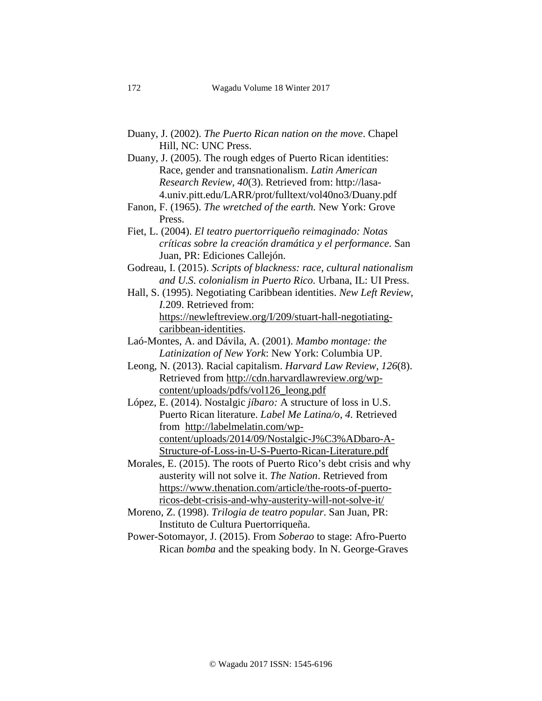- Duany, J. (2002). *The Puerto Rican nation on the move*. Chapel Hill, NC: UNC Press.
- Duany, J. (2005). The rough edges of Puerto Rican identities: Race, gender and transnationalism. *Latin American Research Review, 40*(3). Retrieved from: http://lasa-4.univ.pitt.edu/LARR/prot/fulltext/vol40no3/Duany.pdf
- Fanon, F. (1965). *The wretched of the earth.* New York: Grove Press.
- Fiet, L. (2004). *El teatro puertorriqueño reimaginado: Notas críticas sobre la creación dramática y el performance.* San Juan, PR: Ediciones Callejón.
- Godreau, I. (2015). *Scripts of blackness: race, cultural nationalism and U.S. colonialism in Puerto Rico.* Urbana, IL: UI Press.
- Hall, S. (1995). Negotiating Caribbean identities. *New Left Review, I.*209. Retrieved from: [https://newleftreview.org/I/209/stuart-hall-negotiating](https://newleftreview.org/I/209/stuart-hall-negotiating-caribbean-identities)[caribbean-identities.](https://newleftreview.org/I/209/stuart-hall-negotiating-caribbean-identities)
- Laó-Montes, A. and Dávila, A. (2001). *Mambo montage: the Latinization of New York*: New York: Columbia UP.
- Leong, N. (2013). Racial capitalism. *Harvard Law Review, 126*(8). Retrieved from [http://cdn.harvardlawreview.org/wp](http://cdn.harvardlawreview.org/wp-content/uploads/pdfs/vol126_leong.pdf)[content/uploads/pdfs/vol126\\_leong.pdf](http://cdn.harvardlawreview.org/wp-content/uploads/pdfs/vol126_leong.pdf)
- López, E. (2014). Nostalgic *jíbaro:* A structure of loss in U.S. Puerto Rican literature. *Label Me Latina/o*, *4.* Retrieved from [http://labelmelatin.com/wp](http://labelmelatin.com/wp-content/uploads/2014/09/Nostalgic-J%C3%ADbaro-A-Structure-of-Loss-in-U-S-Puerto-Rican-Literature.pdf)[content/uploads/2014/09/Nostalgic-J%C3%ADbaro-A-](http://labelmelatin.com/wp-content/uploads/2014/09/Nostalgic-J%C3%ADbaro-A-Structure-of-Loss-in-U-S-Puerto-Rican-Literature.pdf)[Structure-of-Loss-in-U-S-Puerto-Rican-Literature.pdf](http://labelmelatin.com/wp-content/uploads/2014/09/Nostalgic-J%C3%ADbaro-A-Structure-of-Loss-in-U-S-Puerto-Rican-Literature.pdf)
- Morales, E. (2015). The roots of Puerto Rico's debt crisis and why austerity will not solve it. *The Nation*. Retrieved from [https://www.thenation.com/article/the-roots-of-puerto](https://www.thenation.com/article/the-roots-of-puerto-ricos-debt-crisis-and-why-austerity-will-not-solve-it/)[ricos-debt-crisis-and-why-austerity-will-not-solve-it/](https://www.thenation.com/article/the-roots-of-puerto-ricos-debt-crisis-and-why-austerity-will-not-solve-it/)
- Moreno, Z. (1998). *Trilogia de teatro popular*. San Juan, PR: Instituto de Cultura Puertorriqueña.
- Power-Sotomayor, J. (2015). From *Soberao* to stage: Afro-Puerto Rican *bomba* and the speaking body. In N. George-Graves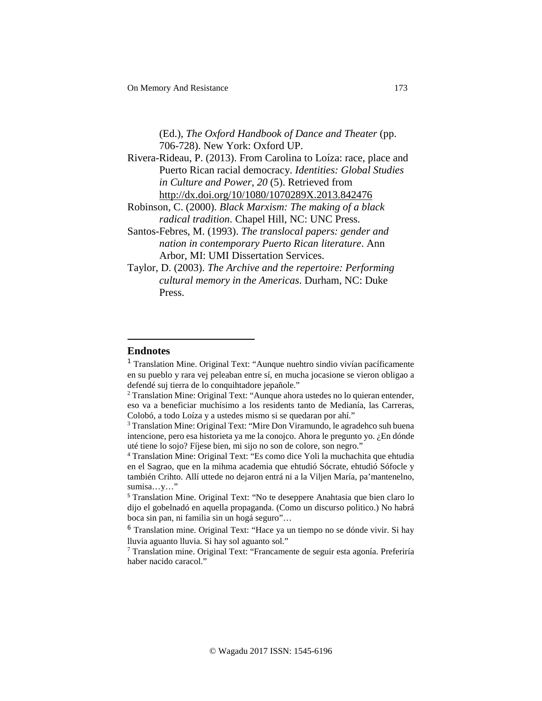# (Ed.), *The Oxford Handbook of Dance and Theater* (pp. 706-728). New York: Oxford UP.

- Rivera-Rideau, P. (2013). From Carolina to Loíza: race, place and Puerto Rican racial democracy. *Identities: Global Studies in Culture and Power, 20* (5). Retrieved from <http://dx.doi.org/10/1080/1070289X.2013.842476>
- Robinson, C. (2000). *Black Marxism: The making of a black radical tradition.* Chapel Hill, NC: UNC Press.
- Santos-Febres, M. (1993). *The translocal papers: gender and nation in contemporary Puerto Rican literature*. Ann Arbor, MI: UMI Dissertation Services.
- Taylor, D. (2003). *The Archive and the repertoire: Performing cultural memory in the Americas*. Durham, NC: Duke Press.

### **Endnotes**

 $\overline{a}$ 

<sup>&</sup>lt;sup>1</sup> Translation Mine. Original Text: "Aunque nuehtro sindio vivían pacíficamente en su pueblo y rara vej peleaban entre sí, en mucha jocasione se vieron obligao a defendé suj tierra de lo conquihtadore jepañole."

<sup>2</sup> Translation Mine: Original Text: "Aunque ahora ustedes no lo quieran entender, eso va a beneficiar muchísimo a los residents tanto de Medianía, las Carreras, Colobó, a todo Loíza y a ustedes mismo si se quedaran por ahí."

<sup>&</sup>lt;sup>3</sup> Translation Mine: Original Text: "Mire Don Viramundo, le agradehco suh buena intencione, pero esa historieta ya me la conojco. Ahora le pregunto yo. ¿En dónde uté tiene lo sojo? Fíjese bien, mi sijo no son de colore, son negro."

<sup>4</sup> Translation Mine: Original Text: "Es como dice Yoli la muchachita que ehtudia en el Sagrao, que en la mihma academia que ehtudió Sócrate, ehtudió Sófocle y también Crihto. Allí uttede no dejaron entrá ni a la Viljen María, pa'mantenelno, sumisa…y…"

<sup>5</sup> Translation Mine. Original Text: "No te deseppere Anahtasia que bien claro lo dijo el gobelnadó en aquella propaganda. (Como un discurso politico.) No habrá boca sin pan, ni familia sin un hogá seguro"…

<sup>6</sup> Translation mine. Original Text: "Hace ya un tiempo no se dónde vivir. Si hay lluvia aguanto lluvia. Si hay sol aguanto sol."

<sup>7</sup> Translation mine. Original Text: "Francamente de seguir esta agonía. Preferiría haber nacido caracol."